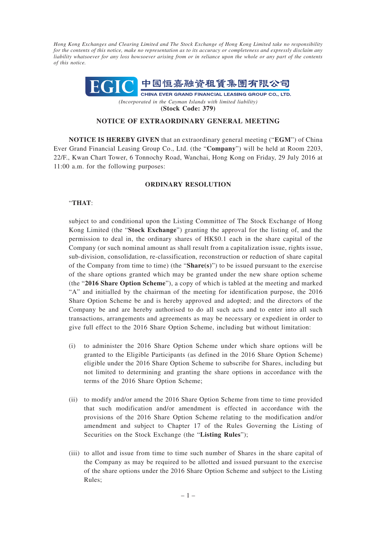*Hong Kong Exchanges and Clearing Limited and The Stock Exchange of Hong Kong Limited take no responsibility for the contents of this notice, make no representation as to its accuracy or completeness and expressly disclaim any liability whatsoever for any loss howsoever arising from or in reliance upon the whole or any part of the contents of this notice.*



**(Stock Code: 379)**

## **NOTICE OF EXTRAORDINARY GENERAL MEETING**

**NOTICE IS HEREBY GIVEN** that an extraordinary general meeting ("**EGM**") of China Ever Grand Financial Leasing Group Co., Ltd. (the "**Company**") will be held at Room 2203, 22/F., Kwan Chart Tower, 6 Tonnochy Road, Wanchai, Hong Kong on Friday, 29 July 2016 at 11:00 a.m. for the following purposes:

## **ORDINARY RESOLUTION**

## "**THAT**:

subject to and conditional upon the Listing Committee of The Stock Exchange of Hong Kong Limited (the "**Stock Exchange**") granting the approval for the listing of, and the permission to deal in, the ordinary shares of HK\$0.1 each in the share capital of the Company (or such nominal amount as shall result from a capitalization issue, rights issue, sub-division, consolidation, re-classification, reconstruction or reduction of share capital of the Company from time to time) (the "**Share(s)**") to be issued pursuant to the exercise of the share options granted which may be granted under the new share option scheme (the "**2016 Share Option Scheme**"), a copy of which is tabled at the meeting and marked "A" and initialled by the chairman of the meeting for identification purpose, the 2016 Share Option Scheme be and is hereby approved and adopted; and the directors of the Company be and are hereby authorised to do all such acts and to enter into all such transactions, arrangements and agreements as may be necessary or expedient in order to give full effect to the 2016 Share Option Scheme, including but without limitation:

- (i) to administer the 2016 Share Option Scheme under which share options will be granted to the Eligible Participants (as defined in the 2016 Share Option Scheme) eligible under the 2016 Share Option Scheme to subscribe for Shares, including but not limited to determining and granting the share options in accordance with the terms of the 2016 Share Option Scheme;
- (ii) to modify and/or amend the 2016 Share Option Scheme from time to time provided that such modification and/or amendment is effected in accordance with the provisions of the 2016 Share Option Scheme relating to the modification and/or amendment and subject to Chapter 17 of the Rules Governing the Listing of Securities on the Stock Exchange (the "**Listing Rules**");
- (iii) to allot and issue from time to time such number of Shares in the share capital of the Company as may be required to be allotted and issued pursuant to the exercise of the share options under the 2016 Share Option Scheme and subject to the Listing Rules;